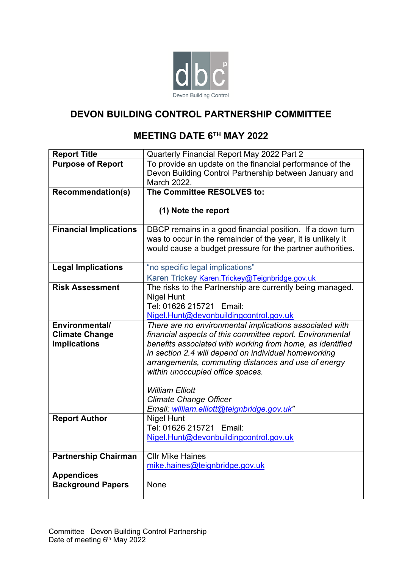

# **DEVON BUILDING CONTROL PARTNERSHIP COMMITTEE**

# **MEETING DATE 6 TH MAY 2022**

| <b>Report Title</b>                          | Quarterly Financial Report May 2022 Part 2                                                                             |  |  |  |  |  |
|----------------------------------------------|------------------------------------------------------------------------------------------------------------------------|--|--|--|--|--|
| <b>Purpose of Report</b>                     | To provide an update on the financial performance of the                                                               |  |  |  |  |  |
|                                              | Devon Building Control Partnership between January and                                                                 |  |  |  |  |  |
|                                              | March 2022.                                                                                                            |  |  |  |  |  |
| <b>Recommendation(s)</b>                     | The Committee RESOLVES to:                                                                                             |  |  |  |  |  |
|                                              |                                                                                                                        |  |  |  |  |  |
|                                              | (1) Note the report                                                                                                    |  |  |  |  |  |
| <b>Financial Implications</b>                | DBCP remains in a good financial position. If a down turn                                                              |  |  |  |  |  |
|                                              | was to occur in the remainder of the year, it is unlikely it                                                           |  |  |  |  |  |
|                                              | would cause a budget pressure for the partner authorities.                                                             |  |  |  |  |  |
|                                              |                                                                                                                        |  |  |  |  |  |
| <b>Legal Implications</b>                    | "no specific legal implications"                                                                                       |  |  |  |  |  |
|                                              | Karen Trickey Karen. Trickey@Teignbridge.gov.uk                                                                        |  |  |  |  |  |
| <b>Risk Assessment</b>                       | The risks to the Partnership are currently being managed.                                                              |  |  |  |  |  |
|                                              | Nigel Hunt                                                                                                             |  |  |  |  |  |
|                                              | Tel: 01626 215721 Email:                                                                                               |  |  |  |  |  |
|                                              | Nigel.Hunt@devonbuildingcontrol.gov.uk                                                                                 |  |  |  |  |  |
| Environmental/                               | There are no environmental implications associated with                                                                |  |  |  |  |  |
| <b>Climate Change</b><br><b>Implications</b> | financial aspects of this committee report. Environmental<br>benefits associated with working from home, as identified |  |  |  |  |  |
|                                              | in section 2.4 will depend on individual homeworking                                                                   |  |  |  |  |  |
|                                              | arrangements, commuting distances and use of energy                                                                    |  |  |  |  |  |
|                                              | within unoccupied office spaces.                                                                                       |  |  |  |  |  |
|                                              |                                                                                                                        |  |  |  |  |  |
|                                              | <b>William Elliott</b>                                                                                                 |  |  |  |  |  |
|                                              | <b>Climate Change Officer</b>                                                                                          |  |  |  |  |  |
|                                              | Email: william.elliott@teignbridge.gov.uk"                                                                             |  |  |  |  |  |
| <b>Report Author</b>                         | Nigel Hunt                                                                                                             |  |  |  |  |  |
|                                              | Tel: 01626 215721 Email:                                                                                               |  |  |  |  |  |
|                                              | Nigel.Hunt@devonbuildingcontrol.gov.uk                                                                                 |  |  |  |  |  |
| <b>Partnership Chairman</b>                  | <b>CIIr Mike Haines</b>                                                                                                |  |  |  |  |  |
|                                              | mike.haines@teignbridge.gov.uk                                                                                         |  |  |  |  |  |
| <b>Appendices</b>                            |                                                                                                                        |  |  |  |  |  |
| <b>Background Papers</b>                     | None                                                                                                                   |  |  |  |  |  |
|                                              |                                                                                                                        |  |  |  |  |  |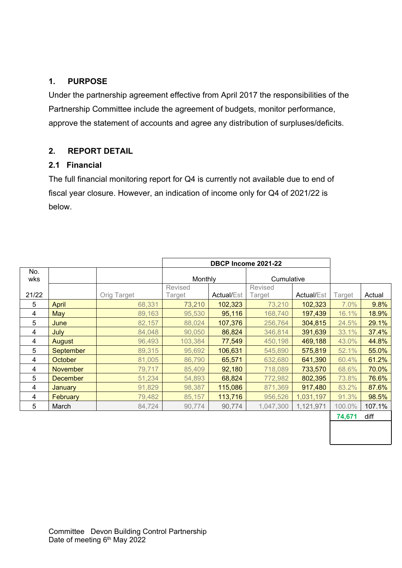## **1. PURPOSE**

Under the partnership agreement effective from April 2017 the responsibilities of the Partnership Committee include the agreement of budgets, monitor performance, approve the statement of accounts and agree any distribution of surpluses/deficits.

## **2. REPORT DETAIL**

## **2.1 Financial**

The full financial monitoring report for Q4 is currently not available due to end of fiscal year closure. However, an indication of income only for Q4 of 2021/22 is below.

| No.   |                  |             |         |                   |            |                   |        |        |
|-------|------------------|-------------|---------|-------------------|------------|-------------------|--------|--------|
| wks   |                  |             | Monthly |                   | Cumulative |                   |        |        |
|       |                  |             | Revised |                   | Revised    |                   |        |        |
| 21/22 |                  | Orig Target | Target  | <b>Actual/Est</b> | Target     | <b>Actual/Est</b> | Target | Actual |
| 5     | April            | 68,331      | 73,210  | 102,323           | 73,210     | 102,323           | 7.0%   | 9.8%   |
| 4     | May              | 89,163      | 95,530  | 95,116            | 168,740    | 197,439           | 16.1%  | 18.9%  |
| 5     | June             | 82,157      | 88,024  | 107,376           | 256,764    | 304,815           | 24.5%  | 29.1%  |
| 4     | July             | 84,048      | 90,050  | 86,824            | 346,814    | 391,639           | 33.1%  | 37.4%  |
| 4     | August           | 96,493      | 103,384 | 77,549            | 450,198    | 469,188           | 43.0%  | 44.8%  |
| 5     | <b>September</b> | 89,315      | 95,692  | 106,631           | 545,890    | 575,819           | 52.1%  | 55.0%  |
| 4     | <b>October</b>   | 81,005      | 86,790  | 65,571            | 632,680    | 641,390           | 60.4%  | 61.2%  |
| 4     | <b>November</b>  | 79,717      | 85,409  | 92,180            | 718,089    | 733,570           | 68.6%  | 70.0%  |
| 5     | <b>December</b>  | 51,234      | 54,893  | 68,824            | 772,982    | 802,395           | 73.8%  | 76.6%  |
| 4     | January          | 91,829      | 98,387  | 115,086           | 871,369    | 917,480           | 83.2%  | 87.6%  |
| 4     | <b>February</b>  | 79,482      | 85,157  | 113,716           | 956,526    | 1,031,197         | 91.3%  | 98.5%  |
| 5     | March            | 84,724      | 90,774  | 90,774            | 1,047,300  | 1,121,971         | 100.0% | 107.1% |
|       |                  |             |         |                   |            |                   | 74,671 | diff   |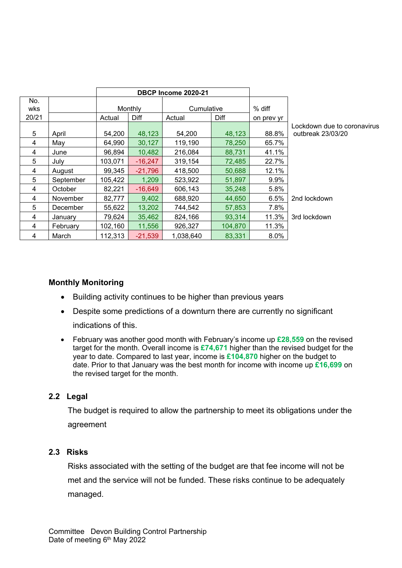|            |           | DBCP Income 2020-21 |           |                |         |            |                                                  |
|------------|-----------|---------------------|-----------|----------------|---------|------------|--------------------------------------------------|
| No.<br>wks |           |                     | Monthly   | Cumulative     |         | % diff     |                                                  |
| 20/21      |           | Actual              | Diff      | Diff<br>Actual |         | on prev yr |                                                  |
| 5          | April     | 54,200              | 48,123    | 54,200         | 48,123  | 88.8%      | Lockdown due to coronavirus<br>outbreak 23/03/20 |
| 4          | May       | 64,990              | 30,127    | 119,190        | 78,250  | 65.7%      |                                                  |
| 4          | June      | 96,894              | 10,482    | 216,084        | 88,731  | 41.1%      |                                                  |
| 5          | July      | 103,071             | $-16,247$ | 319,154        | 72,485  | 22.7%      |                                                  |
| 4          | August    | 99.345              | $-21,796$ | 418,500        | 50,688  | 12.1%      |                                                  |
| 5          | September | 105,422             | 1,209     | 523,922        | 51,897  | 9.9%       |                                                  |
| 4          | October   | 82,221              | $-16,649$ | 606,143        | 35,248  | 5.8%       |                                                  |
| 4          | November  | 82,777              | 9,402     | 688,920        | 44,650  | 6.5%       | 2nd lockdown                                     |
| 5          | December  | 55,622              | 13,202    | 744,542        | 57,853  | 7.8%       |                                                  |
| 4          | January   | 79,624              | 35,462    | 824,166        | 93,314  | 11.3%      | 3rd lockdown                                     |
| 4          | February  | 102,160             | 11,556    | 926,327        | 104,870 | 11.3%      |                                                  |
| 4          | March     | 112,313             | $-21,539$ | 1,038,640      | 83,331  | 8.0%       |                                                  |

### **Monthly Monitoring**

- Building activity continues to be higher than previous years
- Despite some predictions of a downturn there are currently no significant indications of this.
- February was another good month with February's income up **£28,559** on the revised target for the month. Overall income is **£74,671** higher than the revised budget for the year to date. Compared to last year, income is **£104,870** higher on the budget to date. Prior to that January was the best month for income with income up **£16,699** on the revised target for the month.

### **2.2 Legal**

The budget is required to allow the partnership to meet its obligations under the agreement

### **2.3 Risks**

Risks associated with the setting of the budget are that fee income will not be met and the service will not be funded. These risks continue to be adequately managed.